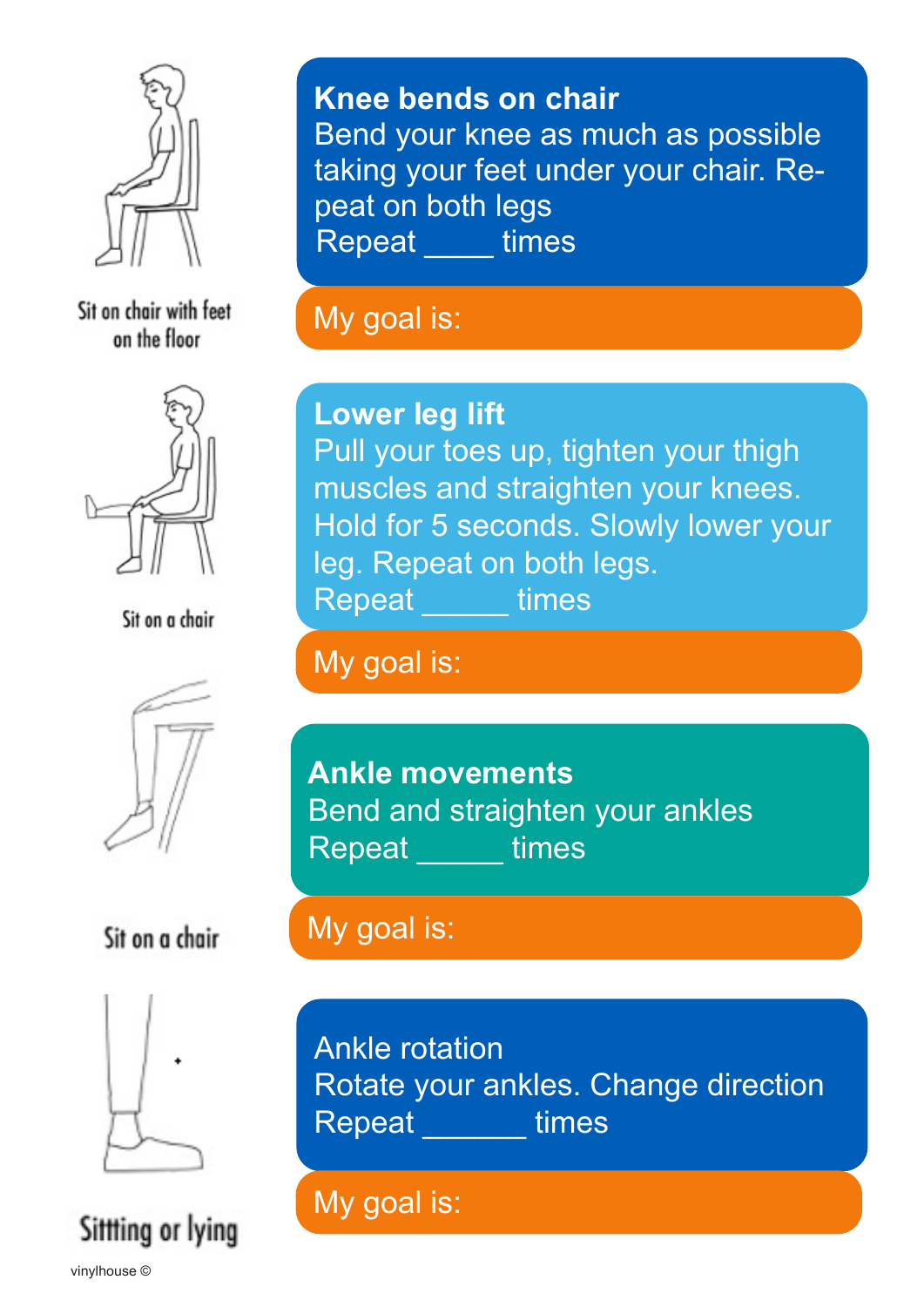

Sit on chair with feet on the floor



Sit on a chair



### Sit on a chair



Sittling or lying

**Knee bends on chair** Bend your knee as much as possible taking your feet under your chair. Repeat on both legs Repeat \_\_\_\_\_ times

My goal is:

**Lower leg lift**  Pull your toes up, tighten your thigh muscles and straighten your knees. Hold for 5 seconds. Slowly lower your leg. Repeat on both legs.

Repeat times

My goal is:

**Ankle movements** Bend and straighten your ankles Repeat \_\_\_\_\_ times

## My goal is:

Ankle rotation Rotate your ankles. Change direction Repeat \_\_\_\_\_\_ times

My goal is: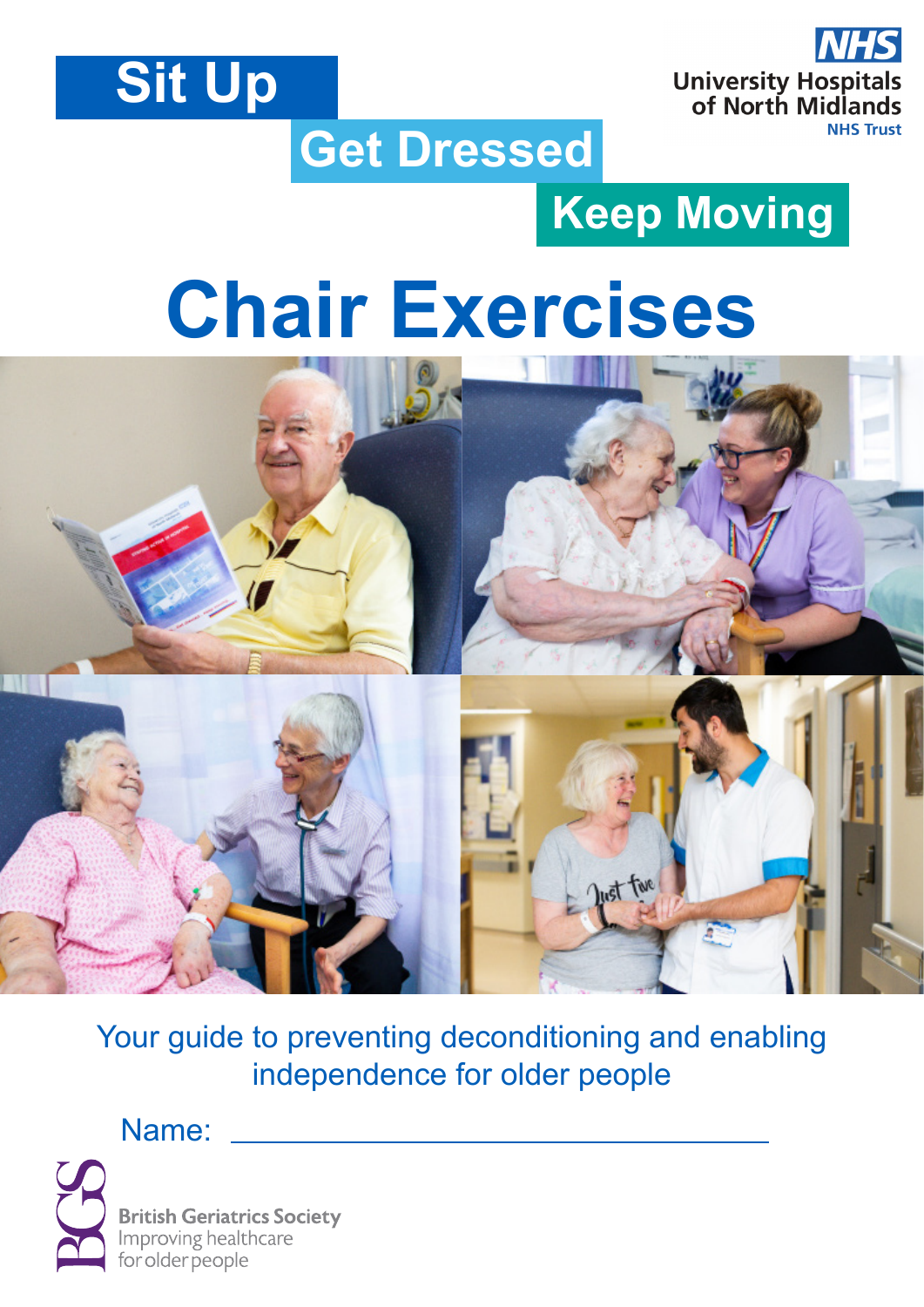



# **Get Dressed**

# **Keep Moving**

# **Chair Exercises**



Your guide to preventing deconditioning and enabling independence for older people

Name:



**British Geriatrics Society Improving healthcare** for older people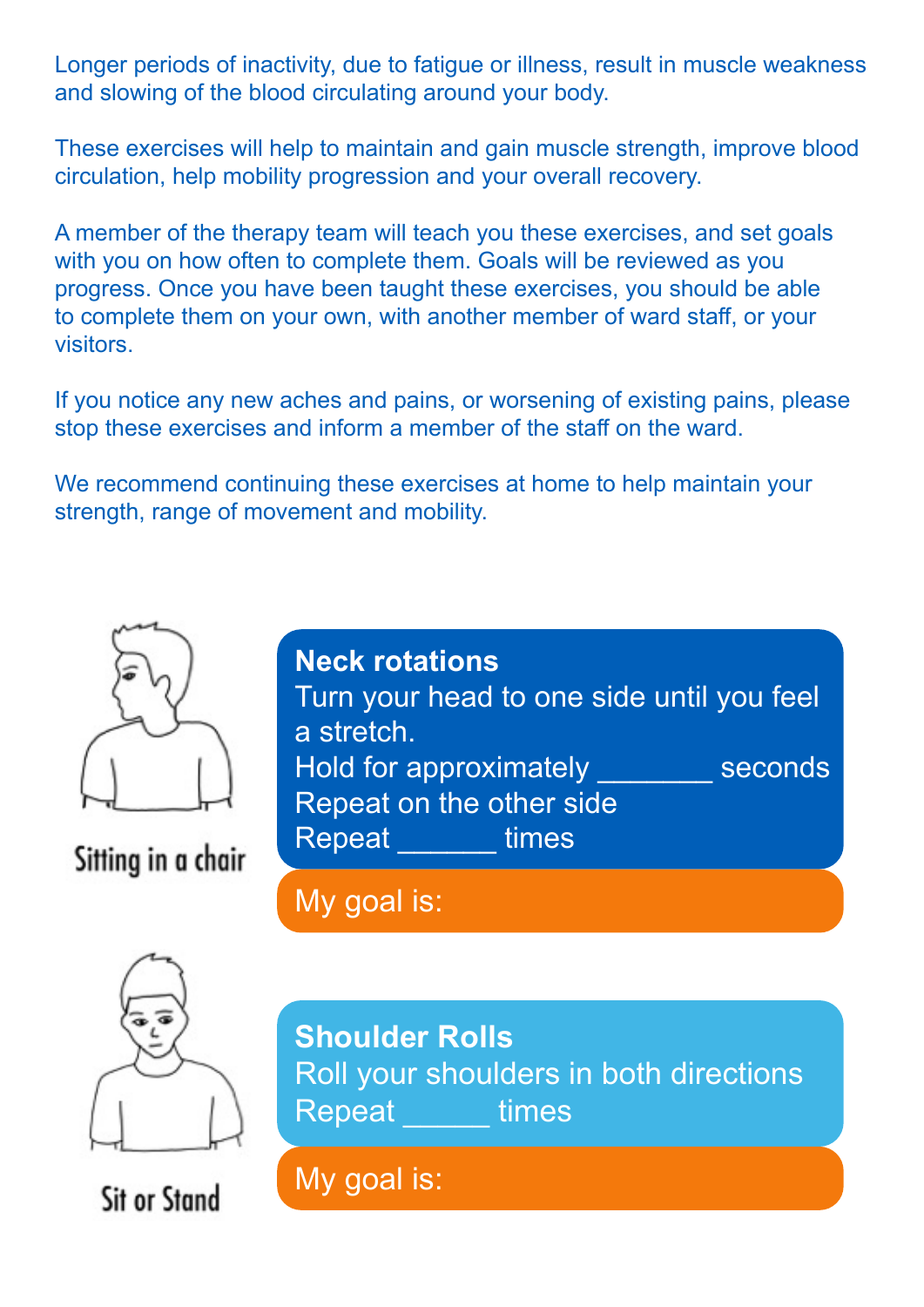Longer periods of inactivity, due to fatigue or illness, result in muscle weakness and slowing of the blood circulating around your body.

These exercises will help to maintain and gain muscle strength, improve blood circulation, help mobility progression and your overall recovery.

A member of the therapy team will teach you these exercises, and set goals with you on how often to complete them. Goals will be reviewed as you progress. Once you have been taught these exercises, you should be able to complete them on your own, with another member of ward staff, or your visitors.

If you notice any new aches and pains, or worsening of existing pains, please stop these exercises and inform a member of the staff on the ward.

We recommend continuing these exercises at home to help maintain your strength, range of movement and mobility.



Sitting in a chair



My goal is:



**Sit or Stand** 

**Shoulder Rolls**  Roll your shoulders in both directions Repeat times

My goal is: